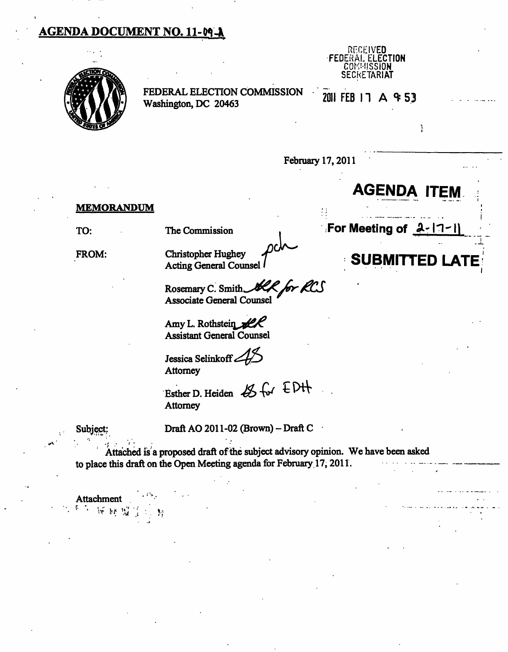# **AGENDA DOCUMENT NO. 11-09-A**



FEDERAL ELECTION COMMISSION  $\overline{201}$  FEB 17 A  $\overline{4}$  53 Washington, DC 20463



**AGENDA IT** 

Ĭ.

February 17,2011

#### **MEMORANDUM**

**TO:** The Commission **For Meeting of 2-1** 

FROM:

Christopher Hughey<br>Acting General Counsel

Rosemary C. Smith, Associate General Counsel

Amy L. Rothstein  $\mathscr{L\!K}$ Assistant General Counsel

Jessica Selinkoff **Attorney** 

Esther D. Heiden  $45$  for  $EDH$ **Attorney** 

Subject: Draft AO 2011-02  $\rm (Brown)-Draft$  C

Attached is a proposed draft of the subject advisory opinion. We have been asked to place this draft on the Open Meeting agenda for February 17,2011.

Attachment

*'\* ^v- !?;' i ; . \.y*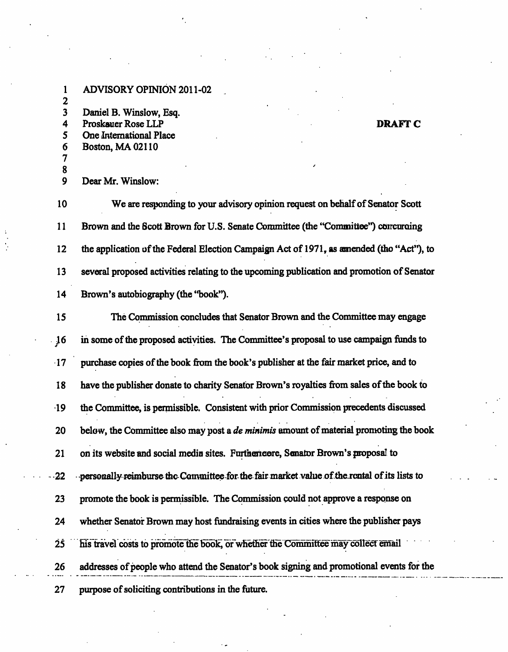1 ADVISORY OPINION 2011-02 2 3 Daniel B. Winslow, Esq. **4 Proskauer Rose LLP** DRAFT C 5 One International Place 6 Boston, MA 02110 7 8

9 Dear Mr. Winslow:

10 We are responding to your advisory opinion request on behalf of Senator Scott 11 Brown and the Scott Brown for U.S. Senate Committee (the "Committee") concuraing 12 the application of the Federal Election Campaign Act of 1971, as amended (the "Act"), to 13 several proposed activities relating to the upcoming publication and promotion of Senator 14 Brown's autobiography (the "book").

15 The Commission concludes that Senator Brown and the Committee may engage 16 in some of the proposed activities. The Committee's proposal to use campaign ftmds to 17 purchase copies of the book ftom the book's publisher at the fair market price, and to 18 have the publisher donate to charity Senator Brown's royalties from sales of the book to 19 the Committee, is permissible. Consistent with prior Commission precedents discussed 20 below, the Committee also may post a *de minimis* amount of material pronoting the book 21 on its website and social media sites. Furthermore, Senator Brown's proposal to  $-22$  -personally reimburse the Committee for the fair market value of the rental of its lists to 23 promote the book is permissible. The Commission could not approve a response on 24 whether Senator Brown may host fundraising events in cities where the publisher pays 25 his travel costs to promote the book, or whether the Committee may collect email 26 addresses of people who attend the Senator's book signing and promotional events for the 27 purpose of soliciting contributions in the future.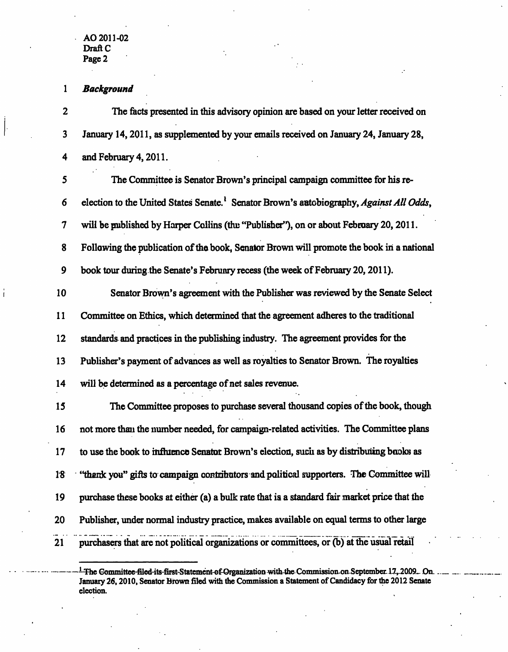#### *1 Background*

2 The facts presented in this advisory opinion are based on your letter received on 3 January 14,2011, as supplemented by your emails received on January 24, January 28, 4 and February 4,2011.

| 5  | The Committee is Senator Brown's principal campaign committee for his re-                |
|----|------------------------------------------------------------------------------------------|
| 6  | election to the United States Senate. Senator Brown's autobiography, Against All Odds,   |
| 7  | will be published by Harper Collins (the "Publisher"), on or about February 20, 2011.    |
| 8  | Following the publication of the book, Senator Brown will promote the book in a national |
| 9  | book tour during the Senate's February recess (the week of February 20, 2011).           |
| 10 | Senator Brown's agreement with the Publisher was reviewed by the Senate Select           |
| 11 | Committee on Ethics, which determined that the agreement adheres to the traditional      |
| 12 | standards and practices in the publishing industry. The agreement provides for the       |
| 13 | Publisher's payment of advances as well as royalties to Senator Brown. The royalties     |
| 14 | will be determined as a percentage of net sales revenue.                                 |
| 15 | The Committee proposes to purchase several thousand copies of the book, though           |
| 16 | not more than the number needed, for campaign-related activities. The Committee plans    |
| 17 | to use the book to influence Senator Brown's election, such as by distributing books as  |
|    |                                                                                          |

18 "thank you" gifts to campaign contributors and political supporters. The Committee will

19 purchase these books at either (a) a bulk rate that is a standard fair market price that the

- 20 Publisher, under normal industry practice, makes available on equal terms to other large
- 21 purchasers that are not political organizations or committees, or (b) at the usual retail

 $\frac{1}{1}$ The Gommittee-filed-its-first-Statement-of-Organization with-the Commission-on-September 17, 2009... On. January 26,2010, Senator Brown filed with the Commission a Statement of Candidacy for the 2012 Senate election.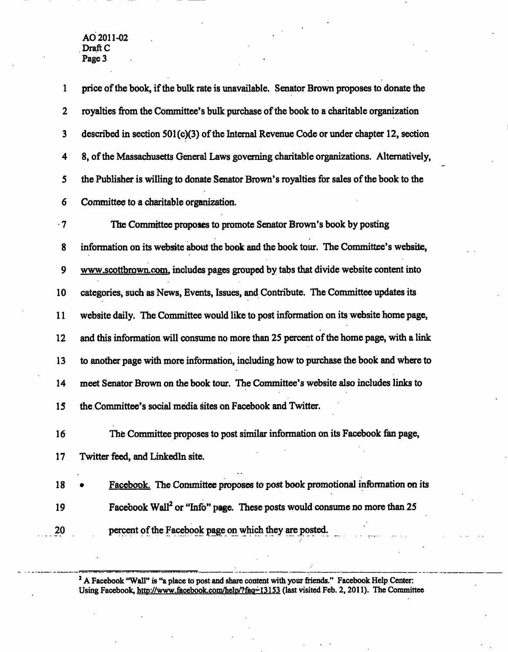**1 price of the book, if the bulk rate is unavailable. Senator Brown proposes to donate the 2 royalties from the Committee's bulk purchase of the book to a charitable organization 3 described in section 501 (c)(3) of the Internal Revenue Code or under chapter 12, section 4 8, of the Massachusetts General Laws governing charitable organizations. Alternatively, 5 the Publisher is willing to donate Senator Brown's royalties for sales of the book to the 6** Committee to a charitable organization. **7 The Committee proposes to promote Senator Brown's book by posting 8 information on its website about the book and the book tour. The Conmiittee's website, 9 www.scottbrown.com. includes pages grouped by tabs that divide website content into 10 categories, such as News, Events, Issues, and Contribute. The Committee updates its 11 website daily. The Conmiittee would like to post information on its website home page, 12 and this information will consume no more than 25 percent of the home page, with a link 13 to another page with more information, including how to purchase the book and where to 14 meet Senator Brown on the book tour. The Committee's website also includes links to 15 the Committee's social media sites on Facebook and Twitter. 16 The Committee proposes to post similar information on its Facebook fan page, 17 Twitter feed, and Linkedin site. 18 • Facebook. The Committee proposes to post book promotional information on its 19 Facebook Wall^ or "Info" page. These posts would consume no more than 25** 

20 **percent of the Facebook page on which they are posted.** 

<sup>2</sup> A Facebook "Wall" is "a place to post and share content with your friends." Facebook Help Center: **Using Facebook, http://www.facebook.com/help/?faq=l3153 (last visited Feb. 2,2011). The Committee**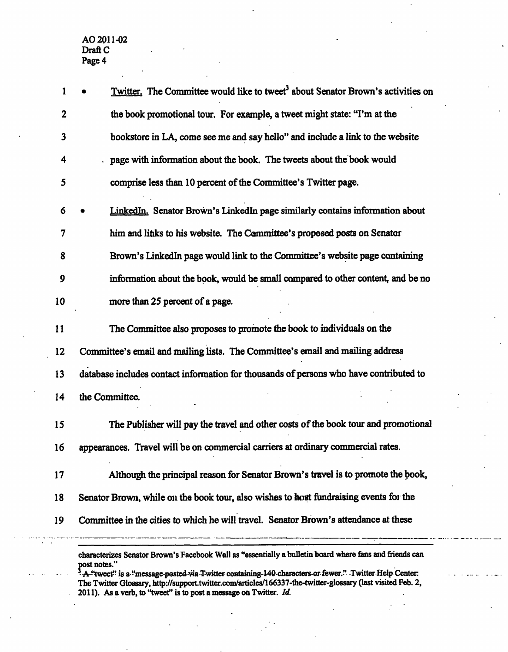| $\mathbf{1}$ |              | Twitter. The Committee would like to tweet <sup>3</sup> about Senator Brown's activities on             |
|--------------|--------------|---------------------------------------------------------------------------------------------------------|
| 2            |              | the book promotional tour. For example, a tweet might state: "I'm at the                                |
| 3            |              | bookstore in LA, come see me and say hello" and include a link to the website                           |
| 4            |              | page with information about the book. The tweets about the book would                                   |
| 5            |              | comprise less than 10 percent of the Committee's Twitter page.                                          |
| 6            |              | LinkedIn. Senator Brown's LinkedIn page similarly contains information about                            |
| 7            |              | him and links to his website. The Committee's proposed posts on Senator                                 |
| 8            |              | Brown's LinkedIn page would link to the Committee's website page containing                             |
| 9            |              | information about the book, would be small compared to other content, and be no                         |
| 10           |              | more than 25 percent of a page.                                                                         |
| 11           |              | The Committee also proposes to promote the book to individuals on the                                   |
| 12           |              | Committee's email and mailing lists. The Committee's email and mailing address                          |
| 13           |              | database includes contact information for thousands of persons who have contributed to                  |
| 14           |              | the Committee.                                                                                          |
| 15           |              | The Publisher will pay the travel and other costs of the book tour and promotional                      |
| 16           |              | appearances. Travel will be on commercial carriers at ordinary commercial rates.                        |
| 17           |              | Although the principal reason for Senator Brown's travel is to promote the book,                        |
| 18           |              | Senator Brown, while on the book tour, also wishes to host fundraising events for the                   |
| 19           |              | Committee in the cities to which he will travel. Senator Brown's attendance at these                    |
|              | post notes." | characterizes Senator Brown's Facebook Wall as "essentially a bulletin board where fans and friends can |

A-<sup>et</sup>tweet" is a "message posted via Twitter containing-140-characters or fewer." Twitter-Help Center: The Twitter Glossary, http://support.twitter.com/articles/166337-the-twitter-glossary (last visited Feb. 2, *2011). As a verb, to "tweet" is to post a message on Twitter. Id.*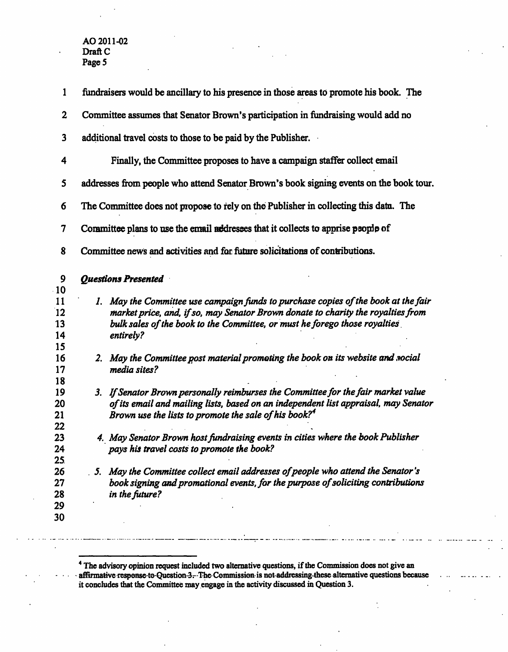| $\mathbf{1}$               | fundraisers would be ancillary to his presence in those areas to promote his book. The                                                                                                                                                                            |
|----------------------------|-------------------------------------------------------------------------------------------------------------------------------------------------------------------------------------------------------------------------------------------------------------------|
| $\boldsymbol{2}$           | Committee assumes that Senator Brown's participation in fundraising would add no                                                                                                                                                                                  |
| $\overline{\mathbf{3}}$    | additional travel costs to those to be paid by the Publisher.                                                                                                                                                                                                     |
| 4                          | Finally, the Committee proposes to have a campaign staffer collect email                                                                                                                                                                                          |
| 5                          | addresses from people who attend Senator Brown's book signing events on the book tour.                                                                                                                                                                            |
| 6                          | The Committee does not propose to rely on the Publisher in collecting this datu. The                                                                                                                                                                              |
| 7                          | Committee plans to use the email addresses that it collects to apprise people of                                                                                                                                                                                  |
| 8                          | Committee news and activities and for future solicitations of contributions.                                                                                                                                                                                      |
| 9<br>10                    | <b>Questions Presented</b>                                                                                                                                                                                                                                        |
| 11<br>12<br>13<br>14       | 1. May the Committee use campaign funds to purchase copies of the book at the fair<br>market price, and, if so, may Senator Brown donate to charity the royalties from<br>bulk sales of the book to the Committee, or must he forego those royalties<br>entirely? |
| 15<br>16<br>17             | 2. May the Committee post material promoting the book on its website and social<br>media sites?                                                                                                                                                                   |
| 18<br>19<br>20<br>21       | 3. If Senator Brown personally reimburses the Committee for the fair market value<br>of its email and mailing lists, based on an independent list appraisal, may Senator<br>Brown use the lists to promote the sale of his book? $4$                              |
| 22<br>23<br>24<br>25.      | 4. May Senator Brown host fundraising events in cities where the book Publisher<br>pays his travel costs to promote the book?                                                                                                                                     |
| 26<br>27<br>28<br>29<br>30 | May the Committee collect email addresses of people who attend the Senator's<br>5.<br>book signing and promotional events, for the purpose of soliciting contributions<br>in the future?                                                                          |
|                            |                                                                                                                                                                                                                                                                   |

<sup>4</sup> The advisory opinion request included two alternative questions, if the Commission does not give an **aftirmative response-to-Question-3--The Commission-is not-addressing-these alternative questions because it concludes that the Committee may engage in the activity discussed in Question 3.**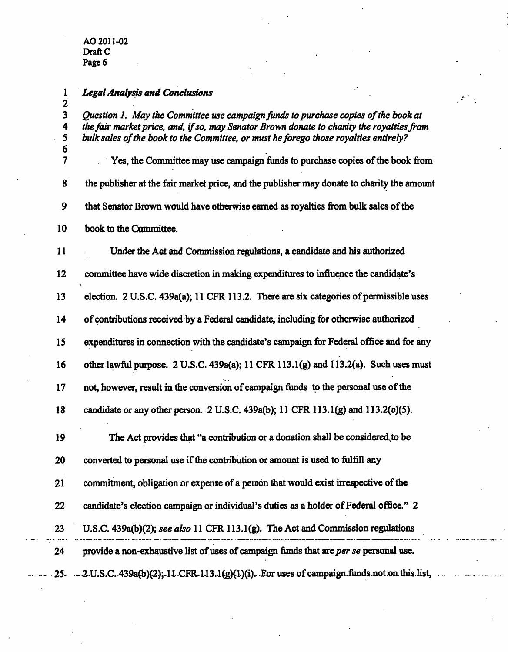*2* 

### *1 Legal Analysis and Conclusions*

*3 Question 1. May the Committee use campaign funds to purchase copies of the book at 4 the fair market price, and, if so, may Senator Brown donate to charity the royalties from*  **5 bulk sales of the book to the Committee, or must he forego those royalties entirely?** 

**6 7 Yes, the Committee may use campaign funds to purchase copies of the book from 8 the publisher at the fair market price, and the publisher may donate to charity the amount 9 that Senator Brown would have otherwise earned as royalties from bulk sales of the 10 book to the Committee.** 

**11 Under the Act and Commission regulations, a candidate and his authorized 12 committee have wide discretion in making expenditures to influence the candidate's 13 election. 2 U.S.C. 439a(a); 11 CFR 113.2. There are six categories of permissible uses 14 of contributions received by a Federal candidate, including for otherwise authorized**  15 expenditures in connection with the candidate's campaign for Federal office and for any **16 other lawfiil purpose. 2 U.S.C. 439a(a); 11 CFR 113.1(g) and 113.2(a). Such uses must 17 not, however, result in the conversion of campaign funds to the personal use of the 18 candidate or any other person. 2 U.S.C. 439a(b); 11 CFR 113.1(g) and 113.2(e)(5).** 

**19 The Act provides that "a contribution or a donation shall be considered^to be 20 converted to personal use if the contribution or amount is used to fulfill any**  21 commitment, obligation or expense of a person that would exist irrespective of the **22 candidate's election campaign or individual's duties as a holder of Federal office." 2 23 U.S.C. 439a(b)(2); see also 11 CFR 113.1(g). The Act and Commission regulations 24 provide a non-exhaustive list of uses of campaign funds that are per se personal use.** 

25 --- 2 U.S.C. 439a(b)(2); 11 CFR 113.1(g)(1)(i). For uses of campaign funds not on this list,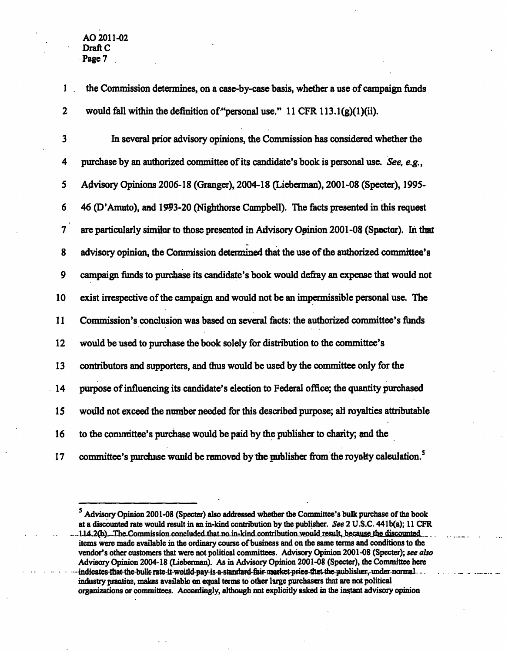**1 the Commission determines, on a case-by-case basis, whether a use of campaign funds 2 would fall within the definition of'^personal use." 11 CFR 113.1(g)(l)(ii).** 

**3 In several prior advisory opinions, the Commission has considered whether the 4 purchase by an authorized committee of its candidate's book is personal use. See, e.g., 5 Advisory Opinions 2006-18 (Granger), 2004-18 (Lieberman), 2001-08 (Specter), 1995- 6 46 (D'Amato), and 1993-20 (Nighthorse Campbell). The facts presented in this request 7 are particularly similar to those presented in Advisory Opinion 2001-08 (Specter). In that 8 advisory opinion, the Commission determined that the use of the authorized committee's 9 campaign funds to purchase its candidate's book would defiray an expense that would not 10 exist irrespective of the campaign and would not be an impermissible personal use. The 11 Commission's conclusion was based on several facts: the authorized committee's funds 12 would be used to purchase the book solely for distribution to the committee's 13 contributors and supporters, and thus would be used by the committee only for the 14 purpose of influencing its candidate's election to Federal office; the quantity purchased 15 would not exceed the number needed for this described purpose; all royalties attributable 16 to the conmiittee's purchase would be paid by the publisher to charity; and the**  17 committee's purchase would be removed by the parblisher from the royalty calculation.<sup>5</sup>

<sup>&</sup>lt;sup>5</sup> Advisory Opinion 2001-08 (Specter) also addressed whether the Committee's bulk purchase of the book **at a discounted rate would result in an in-kind contribution by the publisher. See 2 U.S.C. 441b(a); 11 CFR**  ...114,2(b)...The Commission concluded that no in-kind contribution would result, because the discounted **items were made available in the ordinary course of business and on the same terms and conditions to die vendor's other customers that were not political committees. Advisory Opinion 2001-08 (Specter); see also Advisory Opinion 2004-18 (Lieberman). As in Advisory Opinion 2001-08 (Specter), the Committee here**  indieates-that-the-bulk-rate-it-woitld-pay-is-a-standard-fair-merket-price-thet-the-publisher,-under-normal ... **industry practice, makes available on equal terms to other large purchasers that are not political organizations or committees. Accordingly, although not explicitly asked in the instant advisory opinion**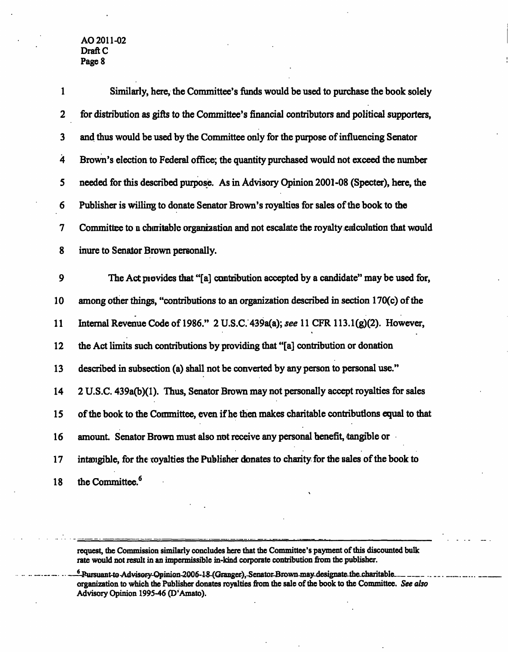| 1                       | Similarly, here, the Committee's funds would be used to purchase the book solely              |
|-------------------------|-----------------------------------------------------------------------------------------------|
| $\overline{2}$          | for distribution as gifts to the Committee's financial contributors and political supporters, |
| $\overline{\mathbf{3}}$ | and thus would be used by the Committee only for the purpose of influencing Senator           |
| $\dot{4}$               | Brown's election to Federal office; the quantity purchased would not exceed the number        |
| 5                       | needed for this described purpose. As in Advisory Opinion 2001-08 (Specter), here, the        |
| 6                       | Publisher is willing to donate Senator Brown's royalties for sales of the book to the         |
| 7                       | Committee to a charitable organization and not escalate the royalty endculation that would    |
| 8                       | inure to Senator Brown personally.                                                            |
| 9                       | The Act provides that "[a] contribution accepted by a candidate" may be used for,             |
| 10                      | among other things, "contributions to an organization described in section 170(c) of the      |
| 11                      | Internal Revenue Code of 1986." 2 U.S.C. 439a(a); see 11 CFR 113.1(g)(2). However,            |
| 12                      | the Act limits such contributions by providing that "[a] contribution or donation             |
| 13                      | described in subsection (a) shall not be converted by any person to personal use."            |
| 14                      | 2 U.S.C. 439a(b)(1). Thus, Senator Brown may not personally accept royalties for sales        |
| 15                      | of the book to the Committee, even if he then makes charitable contributions equal to that    |
| 16                      | amount. Senator Brown must also not receive any personal henefit, tangible or                 |
| 17                      | intangible, for the coyalties the Publisher donates to charity for the sales of the book to   |
| 18                      | the Committee. <sup>6</sup>                                                                   |

**request, the Commission similarly concludes here that the Committee's payment of this discounted bulk rate would not result in an impermissible in-kind corporate contribution from the publisher.** 

<sup>6</sup>-Pursuant-to Advisory-Opinion-2006-18-(Granger),-Senator-Brown-may designate the charitable . **organization to which the Publisher donates royalties from the sale of the book to the Committee. See also Advisory Opinion 199S-46 (D'Amato).**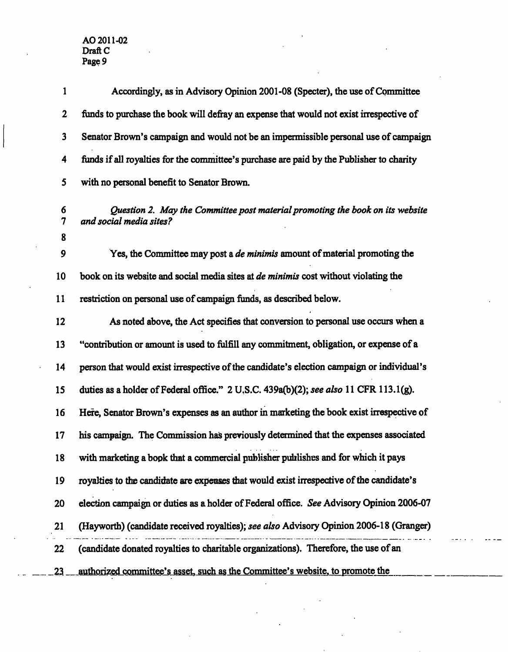| 1                     | Accordingly, as in Advisory Opinion 2001-08 (Specter), the use of Committee                              |
|-----------------------|----------------------------------------------------------------------------------------------------------|
| $\boldsymbol{2}$      | funds to purchase the book will defray an expense that would not exist irrespective of                   |
| $\mathbf{3}$          | Senator Brown's campaign and would not be an impermissible personal use of campaign                      |
| 4                     | funds if all royalties for the committee's purchase are paid by the Publisher to charity                 |
| 5                     | with no personal benefit to Senator Brown.                                                               |
| 6<br>$\boldsymbol{7}$ | Question 2. May the Committee post material promoting the book on its website<br>and social media sites? |
| 8                     |                                                                                                          |
| 9                     | Yes, the Committee may post a <i>de minimis</i> amount of material promoting the                         |
| 10                    | book on its website and social media sites at <i>de minimis</i> cost without violating the               |
| 11                    | restriction on personal use of campaign funds, as described below.                                       |
| 12                    | As noted above, the Act specifies that conversion to personal use occurs when a                          |
| 13                    | "contribution or amount is used to fulfill any commitment, obligation, or expense of a                   |
| 14                    | person that would exist irrespective of the candidate's election campaign or individual's                |
| 15                    | duties as a holder of Federal office." 2 U.S.C. 439a(b)(2); see also 11 CFR 113.1(g).                    |
| 16                    | Here, Senator Brown's expenses as an author in marketing the book exist irrespective of                  |
| 17                    | his campaign. The Commission has previously determined that the expenses associated                      |
| 18                    | with marketing a book that a commercial publisher publishes and for which it pays                        |
| 19                    | royalties to the candidate are expenses that would exist irrespective of the candidate's                 |
| 20                    | election campaign or duties as a holder of Federal office. See Advisory Opinion 2006-07                  |
| 21                    | (Hayworth) (candidate received royalties); see also Advisory Opinion 2006-18 (Granger)                   |
| 22                    | (candidate donated royalties to charitable organizations). Therefore, the use of an                      |
| 23.                   | authorized committee's asset, such as the Committee's website, to promote the                            |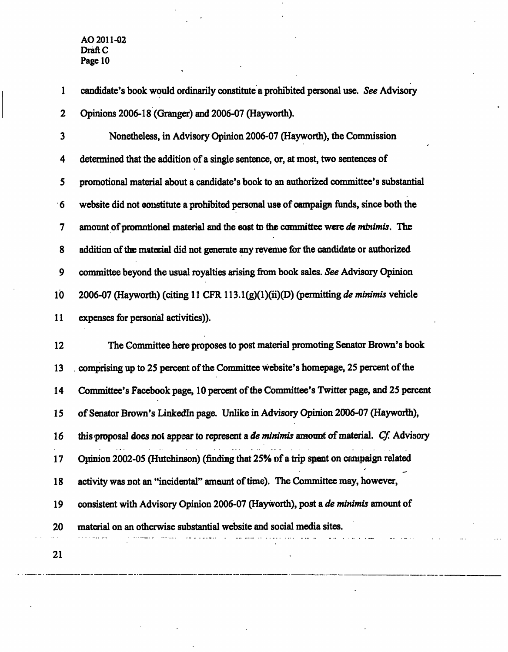**1 candidate's book would ordinarily constitute a prohibited personal use. See Advisory 2 Opinions 2006-18 (Granger) and 2006-07 (Hayworth).** 

**3 Nonetheless, in Advisory Opinion 2006-07 (Hayworth), the Commission 4 determined that the addition of a single sentence, or, at most, two sentences of 5 promotional material about a candidate's book to an authorized committee's substantial 6 website did not constitute a prohibited personal use of campaign funds, since both the 7 amount of promotional material and the cost to the committee were de minimis. The 8 addition of the material did not generate any reyenue for the candidate or authorized 9 committee beyond the usual royalties arising from book sales. See Advisory Opinion lb 2006-07 (Hayworth) (citing 11 CFR 113.1(g)(l)(ii)(D) (permitting de minimis vehicle**  11 expenses for personal activities)).

**12 The Committee here proposes to post material promoting Senator Brown's book 13 . comprising up to 25 percent of the Committee website's homepage, 25 percent of the 14 Committee's Facebook page, 10 percent of the Committee's Twitter page, and 25 percent 15 of Senator Brown's Linkedin page. Unlike in Advisory Opinion 2006-07 (Hayworth), 16 this proposal does not appear to represent a de minimis amount of material. Cf Advisory 17 Opinion 2002-05 (Hutchinson) (finding that 25% of a trip spent on campaign related 18 activity was not an 'Incidental" amount of time). The Committee may, however, 19 consistent with Advisory Opinion 2006-07 (Hayworth), post a de minimis amount of 20 material on an otherwise substantial website and social media sites.** 

**21**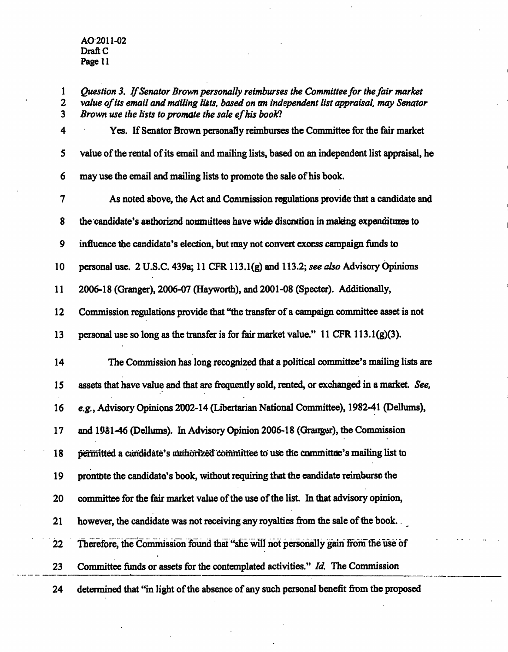$\overline{a}$ 

| $\mathbf{1}$<br>$\overline{\mathbf{2}}$<br>3 | Question 3. If Senator Brown personally reimburses the Committee for the fair market<br>value of its email and mailing lists, based on an independent list appraisal, may Senator<br>Brown use the lists to promote the sale ef his book? |
|----------------------------------------------|-------------------------------------------------------------------------------------------------------------------------------------------------------------------------------------------------------------------------------------------|
| 4                                            | Yes. If Senator Brown personally reimburses the Committee for the fair market                                                                                                                                                             |
| 5                                            | value of the rental of its email and mailing lists, based on an independent list appraisal, he                                                                                                                                            |
| 6                                            | may use the email and mailing lists to promote the sale of his book.                                                                                                                                                                      |
| 7                                            | As noted above, the Act and Commission regulations provide that a candidate and                                                                                                                                                           |
| 8                                            | the candidate's authorized normattees have wide discration in making expenditures to                                                                                                                                                      |
| 9                                            | influence the candidate's election, but may not convert exorss campaign funds to                                                                                                                                                          |
| 10                                           | personal use. 2 U.S.C. 439a; 11 CFR 113.1(g) and 113.2; see also Advisory Opinions                                                                                                                                                        |
| 11                                           | 2006-18 (Granger), 2006-07 (Hayworth), and 2001-08 (Specter). Additionally,                                                                                                                                                               |
| 12                                           | Commission regulations provide that "the transfer of a campaign committee asset is not                                                                                                                                                    |
| 13                                           | personal use so long as the transfer is for fair market value." 11 CFR 113.1(g)(3).                                                                                                                                                       |
| 14                                           | The Commission has long recognized that a political committee's mailing lists are                                                                                                                                                         |
| 15                                           | assets that have value and that are frequently sold, rented, or exchanged in a market. See,                                                                                                                                               |
| 16                                           | e.g., Advisory Opinions 2002-14 (Libertarian National Committee), 1982-41 (Dellums),                                                                                                                                                      |
| 17                                           | and 1981-46 (Dellums). In Advisory Opinion 2006-18 (Granger), the Commission                                                                                                                                                              |
| 18                                           | permitted a candidate's authorized committee to use the committee's mailing list to                                                                                                                                                       |
| 19                                           | promote the candidate's book, without requiring that the eandidate reimburse the                                                                                                                                                          |
| 20                                           | committee for the fair market value of the use of the list. In that advisory opinion,                                                                                                                                                     |
| 21                                           | however, the candidate was not receiving any royalties from the sale of the book.                                                                                                                                                         |
| $\overline{22}$                              | Therefore, the Commission found that "she will not personally gain from the use of                                                                                                                                                        |
| 23                                           | Committee funds or assets for the contemplated activities." Id. The Commission                                                                                                                                                            |
| 24                                           | determined that "in light of the absence of any such personal benefit from the proposed                                                                                                                                                   |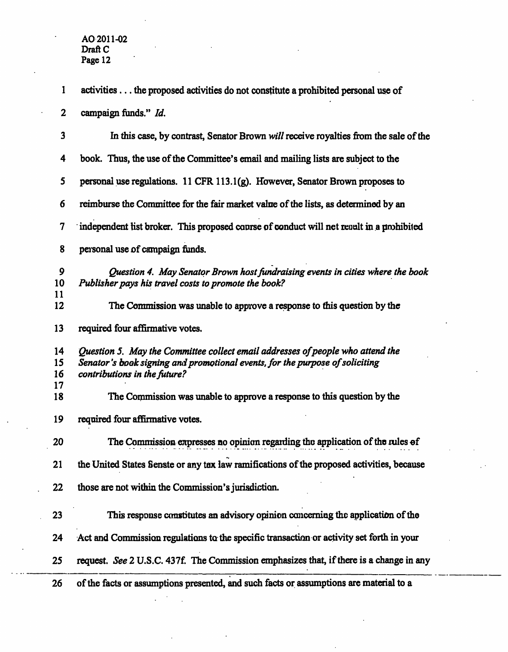| 1                       | activities the proposed activities do not constitute a prohibited personal use of                                                                                                              |
|-------------------------|------------------------------------------------------------------------------------------------------------------------------------------------------------------------------------------------|
| $\mathbf{2}$            | campaign funds." Id.                                                                                                                                                                           |
| $\overline{\mathbf{3}}$ | In this case, by contrast, Senator Brown will receive royalties from the sale of the                                                                                                           |
| 4                       | book. Thus, the use of the Committee's email and mailing lists are subject to the                                                                                                              |
| 5                       | personal use regulations. 11 CFR 113.1(g). However, Senator Brown proposes to                                                                                                                  |
| 6                       | reimburse the Committee for the fair market value of the lists, as determined by an                                                                                                            |
| $\overline{\mathbf{7}}$ | independent list broker. This proposed coprse of conduct will net repult in a prohibited                                                                                                       |
| 8                       | personal use of campaign funds.                                                                                                                                                                |
| 9<br>10                 | Question 4. May Senator Brown host fundraising events in cities where the book<br>Publisher pays his travel costs to promote the book?                                                         |
| 11<br>12                | The Commission was unable to approve a response to this question by the                                                                                                                        |
| 13                      | required four affirmative votes.                                                                                                                                                               |
| 14<br>15<br>16<br>17    | Question 5. May the Committee collect email addresses of people who attend the<br>Senator's book signing and promotional events, for the purpose of soliciting<br>contributions in the future? |
| 18                      | The Commission was unable to approve a response to this question by the                                                                                                                        |
| 19                      | required four affirmative votes.                                                                                                                                                               |
| 20                      | The Commission expresses no opinion regarding the application of the rules of                                                                                                                  |
| 21                      | the United States Senste or any tax law ramifications of the proposed activities, because                                                                                                      |
| 22                      | those are not within the Commission's jurisdiction.                                                                                                                                            |
| 23                      | This response constitutes an advisory opinion concerning the application of the                                                                                                                |
| 24                      | Act and Commission regulations to the specific transaction or activity set forth in your                                                                                                       |
| 25                      | request. See 2 U.S.C. 437f. The Commission emphasizes that, if there is a change in any                                                                                                        |
| 26                      | of the facts or assumptions presented, and such facts or assumptions are material to a                                                                                                         |

 $\overline{a}$ 

 $\mathbb{R}^2$